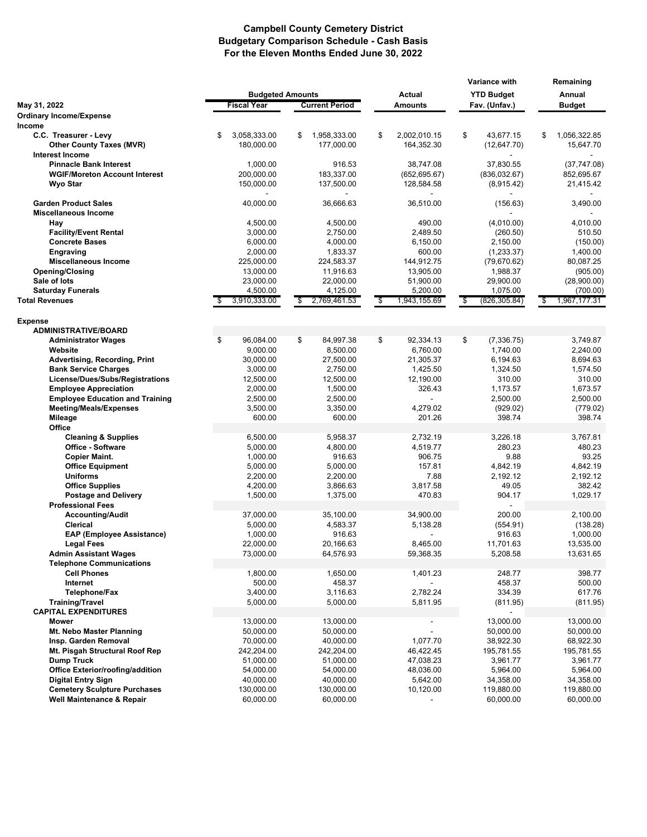## **Campbell County Cemetery District Budgetary Comparison Schedule - Cash Basis For the Eleven Months Ended June 30, 2022**

|                                               |    |                         |    |                       |                                   |                             |    | <b>Variance with</b>    |    | Remaining    |  |
|-----------------------------------------------|----|-------------------------|----|-----------------------|-----------------------------------|-----------------------------|----|-------------------------|----|--------------|--|
|                                               |    | <b>Budgeted Amounts</b> |    |                       |                                   | <b>Actual</b>               |    | <b>YTD Budget</b>       |    | Annual       |  |
| May 31, 2022                                  |    | <b>Fiscal Year</b>      |    | <b>Current Period</b> |                                   | <b>Amounts</b>              |    | Fav. (Unfav.)           |    | Budget       |  |
| <b>Ordinary Income/Expense</b><br>Income      |    |                         |    |                       |                                   |                             |    |                         |    |              |  |
| C.C. Treasurer - Levy                         | \$ | 3,058,333.00            | \$ | 1,958,333.00          | \$                                | 2.002.010.15                | \$ | 43,677.15               | \$ | 1,056,322.85 |  |
| <b>Other County Taxes (MVR)</b>               |    | 180,000.00              |    | 177,000.00            |                                   | 164,352.30                  |    | (12, 647.70)            |    | 15,647.70    |  |
| <b>Interest Income</b>                        |    |                         |    |                       |                                   |                             |    |                         |    |              |  |
| <b>Pinnacle Bank Interest</b>                 |    | 1,000.00                |    | 916.53                |                                   | 38,747.08                   |    | 37,830.55               |    | (37, 747.08) |  |
| <b>WGIF/Moreton Account Interest</b>          |    | 200,000.00              |    | 183,337.00            |                                   | (652, 695.67)               |    | (836,032.67)            |    | 852,695.67   |  |
| Wyo Star                                      |    | 150,000.00              |    | 137,500.00            |                                   | 128,584.58                  |    | (8,915.42)              |    | 21,415.42    |  |
| <b>Garden Product Sales</b>                   |    | 40,000.00               |    | 36,666.63             |                                   | $\blacksquare$<br>36,510.00 |    | (156.63)                |    | 3,490.00     |  |
| <b>Miscellaneous Income</b>                   |    |                         |    |                       |                                   |                             |    |                         |    |              |  |
| Hay                                           |    | 4,500.00                |    | 4,500.00              |                                   | 490.00                      |    | (4,010.00)              |    | 4,010.00     |  |
| <b>Facility/Event Rental</b>                  |    | 3,000.00                |    | 2,750.00              |                                   | 2,489.50                    |    | (260.50)                |    | 510.50       |  |
| <b>Concrete Bases</b>                         |    | 6,000.00                |    | 4,000.00              |                                   | 6,150.00                    |    | 2,150.00                |    | (150.00)     |  |
| Engraving                                     |    | 2,000.00                |    | 1,833.37              |                                   | 600.00                      |    | (1,233.37)              |    | 1,400.00     |  |
| <b>Miscellaneous Income</b>                   |    | 225,000.00              |    | 224,583.37            |                                   | 144,912.75                  |    | (79, 670.62)            |    | 80,087.25    |  |
| <b>Opening/Closing</b>                        |    | 13,000.00               |    | 11,916.63             |                                   | 13,905.00                   |    | 1,988.37                |    | (905.00)     |  |
| Sale of lots                                  |    | 23,000.00               |    | 22,000.00             |                                   | 51,900.00                   |    | 29,900.00               |    | (28,900.00)  |  |
| <b>Saturday Funerals</b>                      |    | 4,500.00                |    | 4,125.00              |                                   | 5,200.00                    |    | 1,075.00                |    | (700.00)     |  |
| <b>Total Revenues</b>                         |    | 3,910,333.00            | \$ | 2,769,461.53          | $\boldsymbol{\hat{\mathfrak{s}}}$ | 1,943,155.69                | \$ | (826,305.84)            | \$ | 1,967,177.31 |  |
|                                               |    |                         |    |                       |                                   |                             |    |                         |    |              |  |
| <b>Expense</b><br><b>ADMINISTRATIVE/BOARD</b> |    |                         |    |                       |                                   |                             |    |                         |    |              |  |
|                                               | \$ |                         | \$ |                       |                                   |                             | \$ |                         |    | 3,749.87     |  |
| <b>Administrator Wages</b>                    |    | 96,084.00<br>9,000.00   |    | 84,997.38             | \$                                | 92,334.13<br>6,760.00       |    | (7, 336.75)<br>1,740.00 |    | 2,240.00     |  |
| Website<br>Advertising, Recording, Print      |    |                         |    | 8,500.00              |                                   |                             |    | 6,194.63                |    | 8,694.63     |  |
| <b>Bank Service Charges</b>                   |    | 30,000.00<br>3,000.00   |    | 27,500.00<br>2,750.00 |                                   | 21,305.37<br>1,425.50       |    | 1,324.50                |    | 1,574.50     |  |
| License/Dues/Subs/Registrations               |    | 12,500.00               |    | 12,500.00             |                                   | 12,190.00                   |    | 310.00                  |    | 310.00       |  |
| <b>Employee Appreciation</b>                  |    | 2,000.00                |    | 1,500.00              |                                   | 326.43                      |    | 1,173.57                |    | 1,673.57     |  |
| <b>Employee Education and Training</b>        |    | 2,500.00                |    | 2,500.00              |                                   | $\blacksquare$              |    | 2,500.00                |    | 2,500.00     |  |
| <b>Meeting/Meals/Expenses</b>                 |    | 3,500.00                |    | 3,350.00              |                                   | 4,279.02                    |    | (929.02)                |    | (779.02)     |  |
| <b>Mileage</b>                                |    | 600.00                  |    | 600.00                |                                   | 201.26                      |    | 398.74                  |    | 398.74       |  |
| Office                                        |    |                         |    |                       |                                   |                             |    |                         |    |              |  |
| <b>Cleaning &amp; Supplies</b>                |    | 6,500.00                |    | 5,958.37              |                                   | 2,732.19                    |    | 3,226.18                |    | 3,767.81     |  |
| <b>Office - Software</b>                      |    | 5,000.00                |    | 4,800.00              |                                   | 4,519.77                    |    | 280.23                  |    | 480.23       |  |
| <b>Copier Maint.</b>                          |    | 1,000.00                |    | 916.63                |                                   | 906.75                      |    | 9.88                    |    | 93.25        |  |
| <b>Office Equipment</b>                       |    | 5,000.00                |    | 5,000.00              |                                   | 157.81                      |    | 4,842.19                |    | 4,842.19     |  |
| <b>Uniforms</b>                               |    | 2,200.00                |    | 2,200.00              |                                   | 7.88                        |    | 2,192.12                |    | 2,192.12     |  |
| <b>Office Supplies</b>                        |    | 4,200.00                |    | 3.866.63              |                                   | 3,817.58                    |    | 49.05                   |    | 382.42       |  |
| <b>Postage and Delivery</b>                   |    | 1,500.00                |    | 1,375.00              |                                   | 470.83                      |    | 904.17                  |    | 1,029.17     |  |
| <b>Professional Fees</b>                      |    |                         |    |                       |                                   |                             |    |                         |    |              |  |
| <b>Accounting/Audit</b>                       |    | 37,000.00               |    | 35,100.00             |                                   | 34,900.00                   |    | 200.00                  |    | 2,100.00     |  |
| Clerical                                      |    | 5,000.00                |    | 4,583.37              |                                   | 5,138.28                    |    | (554.91)                |    | (138.28)     |  |
| <b>EAP (Employee Assistance)</b>              |    | 1,000.00                |    | 916.63                |                                   |                             |    | 916.63                  |    | 1,000.00     |  |
| <b>Legal Fees</b>                             |    | 22,000.00               |    | 20,166.63             |                                   | 8.465.00                    |    | 11,701.63               |    | 13,535.00    |  |
| <b>Admin Assistant Wages</b>                  |    | 73,000.00               |    | 64,576.93             |                                   | 59,368.35                   |    | 5,208.58                |    | 13,631.65    |  |
| <b>Telephone Communications</b>               |    |                         |    |                       |                                   |                             |    |                         |    |              |  |
| <b>Cell Phones</b>                            |    | 1,800.00                |    | 1,650.00              |                                   | 1,401.23                    |    | 248.77                  |    | 398.77       |  |
| Internet                                      |    | 500.00                  |    | 458.37                |                                   |                             |    | 458.37                  |    | 500.00       |  |
| Telephone/Fax                                 |    | 3,400.00                |    | 3,116.63              |                                   | 2,782.24                    |    | 334.39                  |    | 617.76       |  |
| <b>Training/Travel</b>                        |    | 5,000.00                |    | 5,000.00              |                                   | 5,811.95                    |    | (811.95)                |    | (811.95)     |  |
| <b>CAPITAL EXPENDITURES</b>                   |    |                         |    |                       |                                   |                             |    |                         |    |              |  |
| <b>Mower</b>                                  |    | 13,000.00               |    | 13,000.00             |                                   |                             |    | 13,000.00               |    | 13,000.00    |  |
| Mt. Nebo Master Planning                      |    | 50,000.00               |    | 50,000.00             |                                   |                             |    | 50,000.00               |    | 50,000.00    |  |
| Insp. Garden Removal                          |    | 70,000.00               |    | 40,000.00             |                                   | 1,077.70                    |    | 38,922.30               |    | 68,922.30    |  |
| Mt. Pisgah Structural Roof Rep                |    | 242,204.00              |    | 242,204.00            |                                   | 46,422.45                   |    | 195,781.55              |    | 195,781.55   |  |
| <b>Dump Truck</b>                             |    | 51,000.00               |    | 51,000.00             |                                   | 47,038.23                   |    | 3,961.77                |    | 3,961.77     |  |
| <b>Office Exterior/roofing/addition</b>       |    | 54,000.00               |    | 54,000.00             |                                   | 48,036.00                   |    | 5,964.00                |    | 5,964.00     |  |
| <b>Digital Entry Sign</b>                     |    | 40,000.00               |    | 40,000.00             |                                   | 5,642.00                    |    | 34,358.00               |    | 34,358.00    |  |
| <b>Cemetery Sculpture Purchases</b>           |    | 130,000.00              |    | 130,000.00            |                                   | 10,120.00                   |    | 119,880.00              |    | 119,880.00   |  |
| Well Maintenance & Repair                     |    | 60,000.00               |    | 60,000.00             |                                   |                             |    | 60,000.00               |    | 60,000.00    |  |
|                                               |    |                         |    |                       |                                   |                             |    |                         |    |              |  |